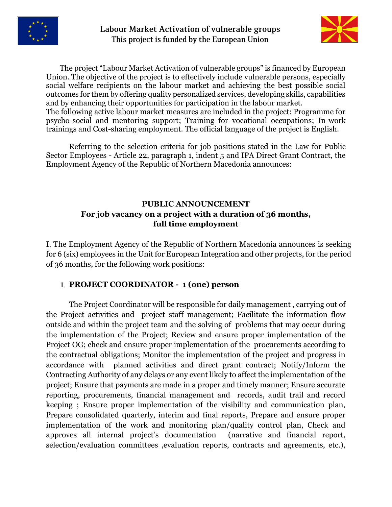



The project "Labour Market Activation of vulnerable groups" is financed by European Union. The objective of the project is to effectively include vulnerable persons, especially social welfare recipients оn the labour market and achieving the best possible social outcomes for them by offering quality personalized services, developing skills, capabilities and by enhancing their opportunities for participation in the labour market.

The following active labour market measures are included in the project: Programme for psycho-social and mentoring support; Training for vocational occupations; In-work trainings and Cost-sharing employment. The official language of the project is English.

Referring to the selection criteria for job positions stated in the Law for Public Sector Employees - Article 22, paragraph 1, indent 5 and IPA Direct Grant Contract, the Employment Agency of the Republic of Northern Macedonia announces:

### **PUBLIC ANNOUNCEMENT For job vacancy on a project with a duration of 36 months, full time employment**

I. Тhe Employment Agency of the Republic of Northern Macedonia announces is seeking for 6 (six) employees in the Unit for European Integration and other projects, for the period of 36 months, for the following work positions:

## **PROJECT COORDINATOR - 1 (one) person**

The Project Coordinator will be responsible for daily management , carrying out of the Project activities and project staff management; Facilitate the information flow outside and within the project team and the solving of problems that may occur during the implementation of the Project; Review and ensure proper implementation of the Project OG; check and ensure proper implementation of the procurements according to the contractual obligations; Monitor the implementation of the project and progress in accordance with planned activities and direct grant contract; Notify/Inform the Contracting Authority of any delays or any event likely to affect the implementation of the project; Ensure that payments are made in a proper and timely manner; Ensure accurate reporting, procurements, financial management and records, audit trail and record keeping ; Ensure proper implementation of the visibility and communication plan, Prepare consolidated quarterly, interim and final reports, Prepare and ensure proper implementation of the work and monitoring plan/quality control plan, Check and approves all internal project's documentation (narrative and financial report, selection/evaluation committees ,evaluation reports, contracts and agreements, etc.),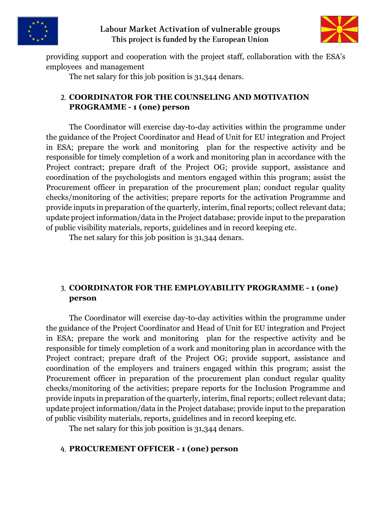

#### Labour Market Activation of vulnerable groups This project is funded by the European Union



providing support and cooperation with the project staff, collaboration with the ESA's employees and management

The net salary for this job position is 31,344 denars.

#### **COORDINATOR FOR THE COUNSELING AND MOTIVATION PROGRAMME - 1 (one) person**

The Coordinator will exercise day-to-day activities within the programme under the guidance of the Project Coordinator and Head of Unit for EU integration and Project in ESA; prepare the work and monitoring plan for the respective activity and be responsible for timely completion of a work and monitoring plan in accordance with the Project contract; prepare draft of the Project OG; provide support, assistance and coordination of the psychologists and mentors engaged within this program; assist the Procurement officer in preparation of the procurement plan; conduct regular quality checks/monitoring of the activities; prepare reports for the activation Programme and provide inputs in preparation of the quarterly, interim, final reports; collect relevant data; update project information/data in the Project database; provide input to the preparation of public visibility materials, reports, guidelines and in record keeping etc.

The net salary for this job position is 31,344 denars.

### **COORDINATOR FOR THE EMPLOYABILITY PROGRAMME - 1 (one) person**

The Coordinator will exercise day-to-day activities within the programme under the guidance of the Project Coordinator and Head of Unit for EU integration and Project in ESA; prepare the work and monitoring plan for the respective activity and be responsible for timely completion of a work and monitoring plan in accordance with the Project contract; prepare draft of the Project OG; provide support, assistance and coordination of the employers and trainers engaged within this program; assist the Procurement officer in preparation of the procurement plan conduct regular quality checks/monitoring of the activities; prepare reports for the Inclusion Programme and provide inputs in preparation of the quarterly, interim, final reports; collect relevant data; update project information/data in the Project database; provide input to the preparation of public visibility materials, reports, guidelines and in record keeping etc.

The net salary for this job position is 31,344 denars.

### **PROCUREMENT OFFICER - 1 (one) person**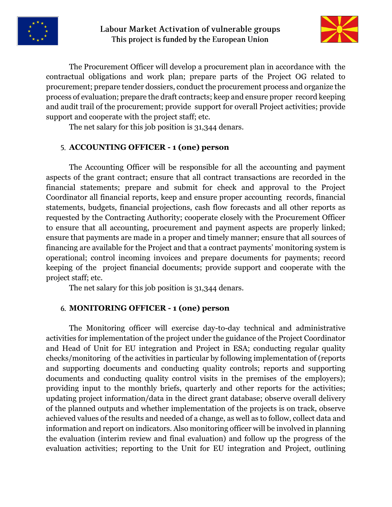



The Procurement Officer will develop a procurement plan in accordance with the contractual obligations and work plan; prepare parts of the Project OG related to procurement; prepare tender dossiers, conduct the procurement process and organize the process of evaluation; prepare the draft contracts; keep and ensure proper record keeping and audit trail of the procurement; provide support for overall Project activities; provide support and cooperate with the project staff; etc.

The net salary for this job position is 31,344 denars.

### **ACCOUNTING OFFICER - 1 (one) person**

The Accounting Officer will be responsible for all the accounting and payment aspects of the grant contract; ensure that all contract transactions are recorded in the financial statements; prepare and submit for check and approval to the Project Coordinator all financial reports, keep and ensure proper accounting records, financial statements, budgets, financial projections, cash flow forecasts and all other reports as requested by the Contracting Authority; cooperate closely with the Procurement Officer to ensure that all accounting, procurement and payment aspects are properly linked; ensure that payments are made in a proper and timely manner; ensure that all sources of financing are available for the Project and that a contract payments' monitoring system is operational; control incoming invoices and prepare documents for payments; record keeping of the project financial documents; provide support and cooperate with the project staff; etc.

The net salary for this job position is 31,344 denars.

#### **MONITORING OFFICER - 1 (one) person**

The Monitoring officer will exercise day-to-day technical and administrative activities for implementation of the project under the guidance of the Project Coordinator and Head of Unit for EU integration and Project in ESA; conducting regular quality checks/monitoring of the activities in particular by following implementation of (reports and supporting documents and conducting quality controls; reports and supporting documents and conducting quality control visits in the premises of the employers); providing input to the monthly briefs, quarterly and other reports for the activities; updating project information/data in the direct grant database; observe overall delivery of the planned outputs and whether implementation of the projects is on track, observe achieved values of the results and needed of a change, as well as to follow, collect data and information and report on indicators. Also monitoring officer will be involved in planning the evaluation (interim review and final evaluation) and follow up the progress of the evaluation activities; reporting to the Unit for EU integration and Project, outlining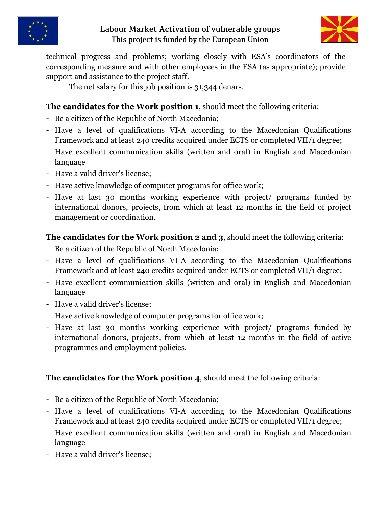

## Labour Market Activation of vulnerable groups This project is funded by the European Union



technical progress and problems; working closely with ESA's coordinators of the corresponding measure and with other employees in the ESA (as appropriate); provide support and assistance to the project staff.

The net salary for this job position is 31,344 denars.

# **The candidates for the Work position 1**, should meet the following criteria:

- Be a citizen of the Republic of North Macedonia;
- Have a level of qualifications VI-A according to the Macedonian Qualifications Framework and at least 240 credits acquired under ECTS or completed VII/1 degree;
- Have excellent communication skills (written and oral) in English and Macedonian language
- Have a valid driver's license:
- Have active knowledge of computer programs for office work;
- Have at last 30 months working experience with project/ programs funded by international donors, projects, from which at least 12 months in the field of project management or coordination.

# **The candidates for the Work position 2 and 3**, should meet the following criteria:

- Be a citizen of the Republic of North Macedonia;
- Have a level of qualifications VI-A according to the Macedonian Qualifications Framework and at least 240 credits acquired under ECTS or completed VII/1 degree;
- Have excellent communication skills (written and oral) in English and Macedonian language
- Have a valid driver's license;
- Have active knowledge of computer programs for office work;
- Have at last 30 months working experience with project/ programs funded by international donors, projects, from which at least 12 months in the field of active programmes and employment policies.

## **The candidates for the Work position 4**, should meet the following criteria:

- Be a citizen of the Republic of North Macedonia;
- Have a level of qualifications VI-A according to the Macedonian Qualifications Framework and at least 240 credits acquired under ECTS or completed VII/1 degree;
- Have excellent communication skills (written and oral) in English and Macedonian language
- Have a valid driver's license;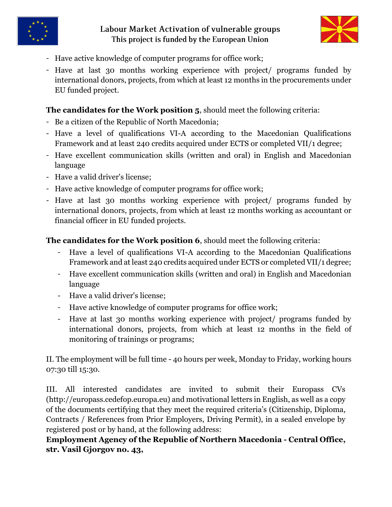

## Labour Market Activation of vulnerable groups This project is funded by the European Union



- Have active knowledge of computer programs for office work;
- Have at last 30 months working experience with project/ programs funded by international donors, projects, from which at least 12 months in the procurements under EU funded project.

## **The candidates for the Work position 5**, should meet the following criteria:

- Be a citizen of the Republic of North Macedonia;
- Have a level of qualifications VI-A according to the Macedonian Qualifications Framework and at least 240 credits acquired under ECTS or completed VII/1 degree;
- Have excellent communication skills (written and oral) in English and Macedonian language
- Have a valid driver's license:
- Have active knowledge of computer programs for office work;
- Have at last 30 months working experience with project/ programs funded by international donors, projects, from which at least 12 months working as accountant or financial officer in EU funded projects.

**The candidates for the Work position 6**, should meet the following criteria:

- Have a level of qualifications VI-A according to the Macedonian Qualifications Framework and at least 240 credits acquired under ECTS or completed VII/1 degree;
- Have excellent communication skills (written and oral) in English and Macedonian language
- Have a valid driver's license;
- Have active knowledge of computer programs for office work;
- Have at last 30 months working experience with project/ programs funded by international donors, projects, from which at least 12 months in the field of monitoring of trainings or programs;

II. The employment will be full time - 40 hours per week, Monday to Friday, working hours 07:30 till 15:30.

III. All interested candidates are invited to submit their Europass CVs (http://europass.cedefop.europa.eu) and motivational letters in English, as well as a copy of the documents certifying that they meet the required criteria's (Citizenship, Diploma, Contracts / References from Prior Employers, Driving Permit), in a sealed envelope by registered post or by hand, at the following address:

**Employment Agency of the Republic of Northern Macedonia - Central Office, str. Vasil Gjorgov no. 43,**